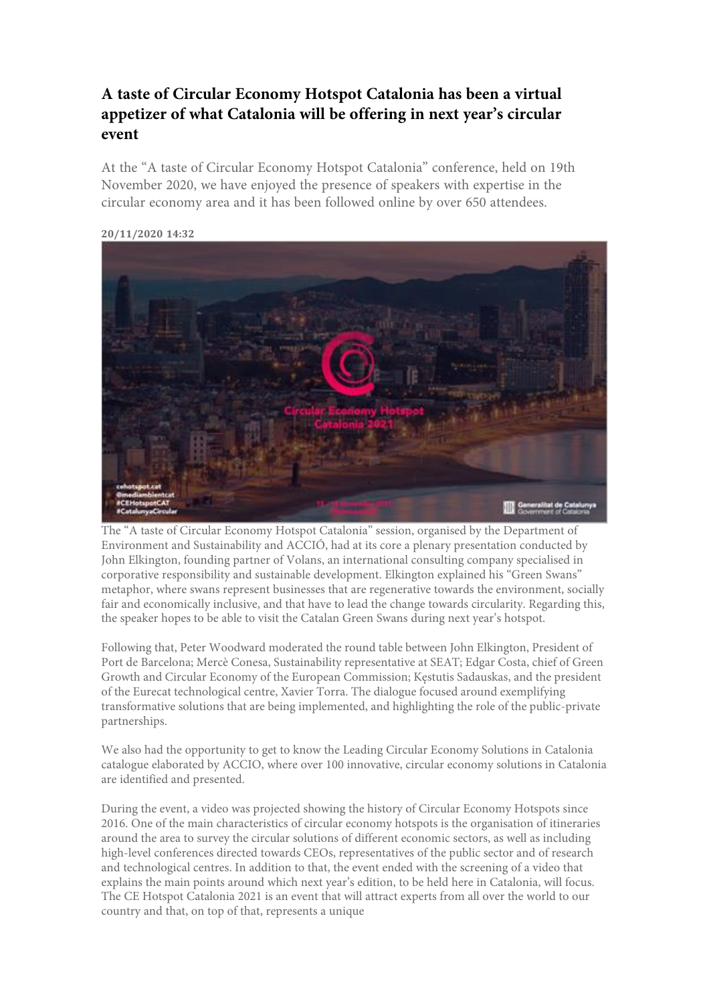## **A taste of Circular Economy Hotspot Catalonia has been a virtual appetizer of what Catalonia will be offering in next year's circular event**

At the "A taste of Circular Economy Hotspot Catalonia" conference, held on 19th November 2020, we have enjoyed the presence of speakers with expertise in the circular economy area and it has been followed online by over 650 attendees.



**20/11/2020 14:32**

The "A taste of Circular Economy Hotspot Catalonia" session, organised by the Department of Environment and Sustainability and ACCIÓ, had at its core a plenary presentation conducted by John Elkington, founding partner of Volans, an international consulting company specialised in corporative responsibility and sustainable development. Elkington explained his "Green Swans" metaphor, where swans represent businesses that are regenerative towards the environment, socially fair and economically inclusive, and that have to lead the change towards circularity. Regarding this, the speaker hopes to be able to visit the Catalan Green Swans during next year's hotspot.

Following that, Peter Woodward moderated the round table between John Elkington, President of Port de Barcelona; Mercè Conesa, Sustainability representative at SEAT; Edgar Costa, chief of Green Growth and Circular Economy of the European Commission; Kęstutis Sadauskas, and the president of the Eurecat technological centre, Xavier Torra. The dialogue focused around exemplifying transformative solutions that are being implemented, and highlighting the role of the public-private partnerships.

We also had the opportunity to get to know the Leading Circular Economy Solutions in Catalonia catalogue elaborated by ACCIO, where over 100 innovative, circular economy solutions in Catalonia are identified and presented.

During the event, a video was projected showing the history of Circular Economy Hotspots since 2016. One of the main characteristics of circular economy hotspots is the organisation of itineraries around the area to survey the circular solutions of different economic sectors, as well as including high-level conferences directed towards CEOs, representatives of the public sector and of research and technological centres. In addition to that, the event ended with the screening of a video that explains the main points around which next year's edition, to be held here in Catalonia, will focus. The CE Hotspot Catalonia 2021 is an event that will attract experts from all over the world to our country and that, on top of that, represents a unique